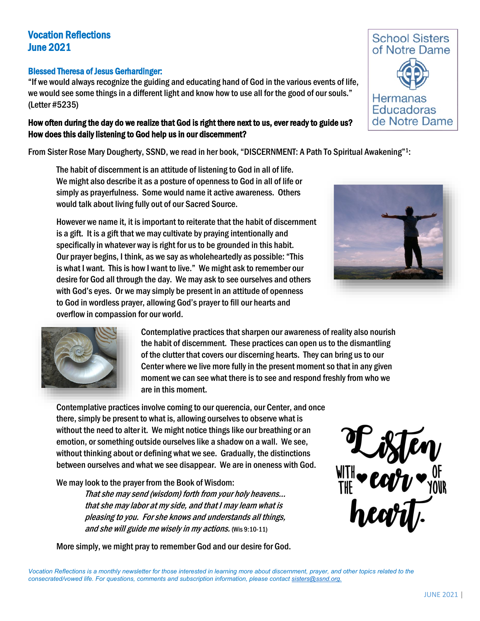# Vocation Reflections June 2021

### Blessed Theresa of Jesus Gerhardinger:

"If we would always recognize the guiding and educating hand of God in the various events of life, we would see some things in a different light and know how to use all for the good of our souls." (Letter #5235)

## How often during the day do we realize that God is right there next to us, ever ready to guide us? How does this daily listening to God help us in our discernment?

From Sister Rose Mary Dougherty, SSND, we read in her book, "DISCERNMENT: A Path To Spiritual Awakening"1:

The habit of discernment is an attitude of listening to God in all of life. We might also describe it as a posture of openness to God in all of life or simply as prayerfulness. Some would name it active awareness. Others would talk about living fully out of our Sacred Source.

However we name it, it is important to reiterate that the habit of discernment is a gift. It is a gift that we may cultivate by praying intentionally and specifically in whatever way is right for us to be grounded in this habit. Our prayer begins, I think, as we say as wholeheartedly as possible: "This is what I want. This is how I want to live." We might ask to remember our desire for God all through the day. We may ask to see ourselves and others with God's eyes. Or we may simply be present in an attitude of openness to God in wordless prayer, allowing God's prayer to fill our hearts and overflow in compassion for our world.





Contemplative practices that sharpen our awareness of reality also nourish the habit of discernment. These practices can open us to the dismantling of the clutter that covers our discerning hearts. They can bring us to our Center where we live more fully in the present moment so that in any given moment we can see what there is to see and respond freshly from who we are in this moment.

Contemplative practices involve coming to our querencia, our Center, and once there, simply be present to what is, allowing ourselves to observe what is without the need to alter it. We might notice things like our breathing or an emotion, or something outside ourselves like a shadow on a wall. We see, without thinking about or defining what we see. Gradually, the distinctions between ourselves and what we see disappear. We are in oneness with God.

We may look to the prayer from the Book of Wisdom:

 That she may send (wisdom) forth from your holy heavens… that she may labor at my side, and that I may learn what is pleasing to you. For she knows and understands all things, and she will guide me wisely in my actions. (Wis 9:10-11)

More simply, we might pray to remember God and our desire for God.